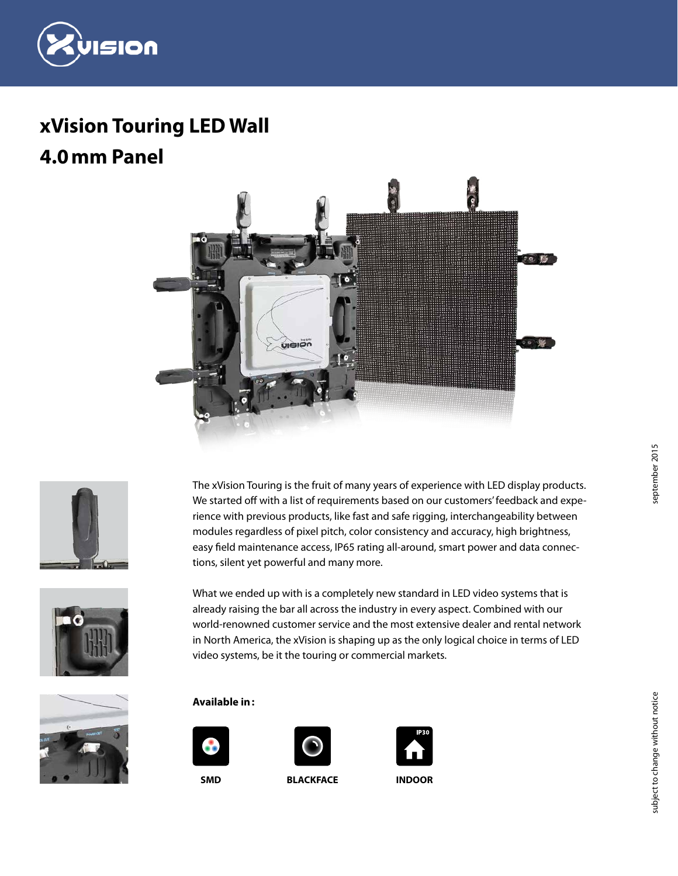

# **xVision Touring LED Wall**











What we ended up with is a completely new standard in LED video systems that is already raising the bar all across the industry in every aspect. Combined with our world-renowned customer service and the most extensive dealer and rental network in North America, the xVision is shaping up as the only logical choice in terms of LED video systems, be it the touring or commercial markets.



#### **Available in:**





**SMD BLACKFACE INDOOR**